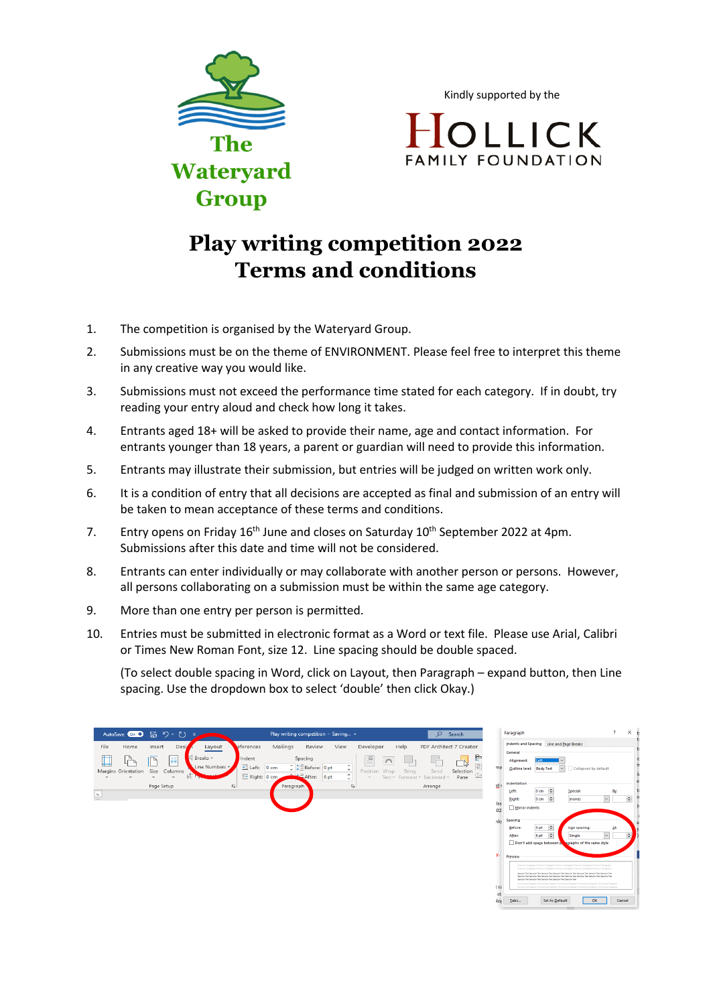

Kindly supported by the

OLLICK **FAMILY FOUNDATION** 

## **Play writing competition 2022 Terms and conditions**

- 1. The competition is organised by the Wateryard Group.
- 2. Submissions must be on the theme of ENVIRONMENT. Please feel free to interpret this theme in any creative way you would like.
- 3. Submissions must not exceed the performance time stated for each category. If in doubt, try reading your entry aloud and check how long it takes.
- 4. Entrants aged 18+ will be asked to provide their name, age and contact information. For entrants younger than 18 years, a parent or guardian will need to provide this information.
- 5. Entrants may illustrate their submission, but entries will be judged on written work only.
- 6. It is a condition of entry that all decisions are accepted as final and submission of an entry will be taken to mean acceptance of these terms and conditions.
- 7. Entry opens on Friday 16<sup>th</sup> June and closes on Saturday 10<sup>th</sup> September 2022 at 4pm. Submissions after this date and time will not be considered.
- 8. Entrants can enter individually or may collaborate with another person or persons. However, all persons collaborating on a submission must be within the same age category.
- 9. More than one entry per person is permitted.
- 10. Entries must be submitted in electronic format as a Word or text file. Please use Arial, Calibri or Times New Roman Font, size 12. Line spacing should be double spaced.

(To select double spacing in Word, click on Layout, then Paragraph – expand button, then Line spacing. Use the dropdown box to select 'double' then click Okay.)